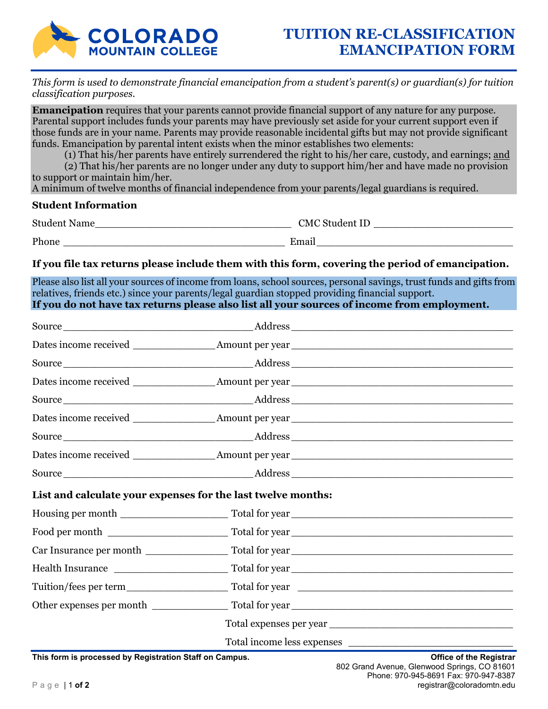

*This form is used to demonstrate financial emancipation from a student's parent(s) or guardian(s) for tuition classification purposes.* 

**Emancipation** requires that your parents cannot provide financial support of any nature for any purpose. Parental support includes funds your parents may have previously set aside for your current support even if those funds are in your name. Parents may provide reasonable incidental gifts but may not provide significant funds. Emancipation by parental intent exists when the minor establishes two elements:

(1) That his/her parents have entirely surrendered the right to his/her care, custody, and earnings; and

(2) That his/her parents are no longer under any duty to support him/her and have made no provision to support or maintain him/her.

A minimum of twelve months of financial independence from your parents/legal guardians is required.

## **Student Information**

| <b>Student Name</b> | <b>CMC</b> Student ID |
|---------------------|-----------------------|
| Phone               | Email                 |

**If you file tax returns please include them with this form, covering the period of emancipation.** 

Please also list all your sources of income from loans, school sources, personal savings, trust funds and gifts from relatives, friends etc.) since your parents/legal guardian stopped providing financial support. **If you do not have tax returns please also list all your sources of income from employment.** 

| List and calculate your expenses for the last twelve months: |  |  |  |
|--------------------------------------------------------------|--|--|--|
|                                                              |  |  |  |
|                                                              |  |  |  |
|                                                              |  |  |  |
|                                                              |  |  |  |
|                                                              |  |  |  |
|                                                              |  |  |  |
|                                                              |  |  |  |
|                                                              |  |  |  |

**This form is processed by Registration Staff on Campus. Office of the Registrar**